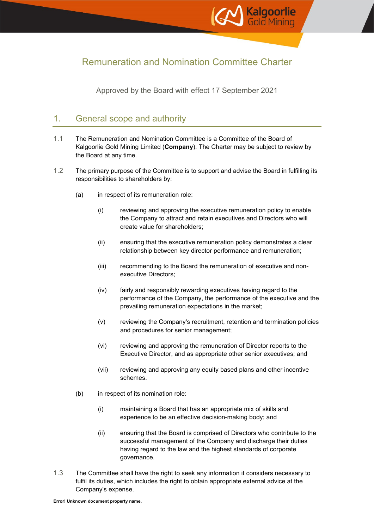

# Remuneration and Nomination Committee Charter

Approved by the Board with effect 17 September 2021

# 1. General scope and authority

- 1.1 The Remuneration and Nomination Committee is a Committee of the Board of Kalgoorlie Gold Mining Limited (**Company**). The Charter may be subject to review by the Board at any time.
- 1.2 The primary purpose of the Committee is to support and advise the Board in fulfilling its responsibilities to shareholders by:
	- (a) in respect of its remuneration role:
		- (i) reviewing and approving the executive remuneration policy to enable the Company to attract and retain executives and Directors who will create value for shareholders;
		- (ii) ensuring that the executive remuneration policy demonstrates a clear relationship between key director performance and remuneration;
		- (iii) recommending to the Board the remuneration of executive and nonexecutive Directors;
		- (iv) fairly and responsibly rewarding executives having regard to the performance of the Company, the performance of the executive and the prevailing remuneration expectations in the market;
		- (v) reviewing the Company's recruitment, retention and termination policies and procedures for senior management;
		- (vi) reviewing and approving the remuneration of Director reports to the Executive Director, and as appropriate other senior executives; and
		- (vii) reviewing and approving any equity based plans and other incentive schemes.
	- (b) in respect of its nomination role:
		- (i) maintaining a Board that has an appropriate mix of skills and experience to be an effective decision-making body; and
		- (ii) ensuring that the Board is comprised of Directors who contribute to the successful management of the Company and discharge their duties having regard to the law and the highest standards of corporate governance.
- 1.3 The Committee shall have the right to seek any information it considers necessary to fulfil its duties, which includes the right to obtain appropriate external advice at the Company's expense.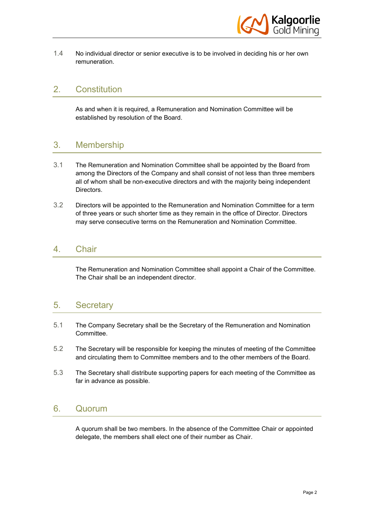

1.4 No individual director or senior executive is to be involved in deciding his or her own remuneration.

## 2. Constitution

As and when it is required, a Remuneration and Nomination Committee will be established by resolution of the Board.

## 3. Membership

- 3.1 The Remuneration and Nomination Committee shall be appointed by the Board from among the Directors of the Company and shall consist of not less than three members all of whom shall be non-executive directors and with the majority being independent Directors.
- 3.2 Directors will be appointed to the Remuneration and Nomination Committee for a term of three years or such shorter time as they remain in the office of Director. Directors may serve consecutive terms on the Remuneration and Nomination Committee.

#### 4. Chair

The Remuneration and Nomination Committee shall appoint a Chair of the Committee. The Chair shall be an independent director.

#### 5. Secretary

- 5.1 The Company Secretary shall be the Secretary of the Remuneration and Nomination Committee.
- 5.2 The Secretary will be responsible for keeping the minutes of meeting of the Committee and circulating them to Committee members and to the other members of the Board.
- 5.3 The Secretary shall distribute supporting papers for each meeting of the Committee as far in advance as possible.

#### 6. Quorum

A quorum shall be two members. In the absence of the Committee Chair or appointed delegate, the members shall elect one of their number as Chair.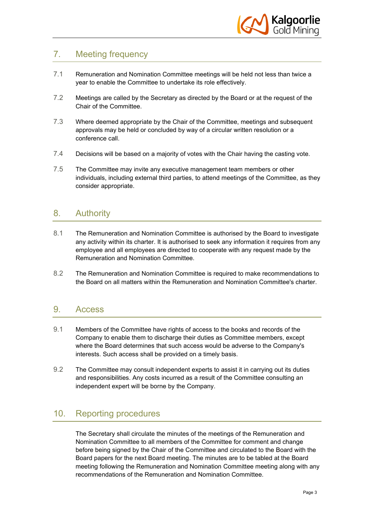

# 7. Meeting frequency

- 7.1 Remuneration and Nomination Committee meetings will be held not less than twice a year to enable the Committee to undertake its role effectively.
- 7.2 Meetings are called by the Secretary as directed by the Board or at the request of the Chair of the Committee.
- 7.3 Where deemed appropriate by the Chair of the Committee, meetings and subsequent approvals may be held or concluded by way of a circular written resolution or a conference call.
- 7.4 Decisions will be based on a majority of votes with the Chair having the casting vote.
- 7.5 The Committee may invite any executive management team members or other individuals, including external third parties, to attend meetings of the Committee, as they consider appropriate.

## 8. Authority

- 8.1 The Remuneration and Nomination Committee is authorised by the Board to investigate any activity within its charter. It is authorised to seek any information it requires from any employee and all employees are directed to cooperate with any request made by the Remuneration and Nomination Committee.
- 8.2 The Remuneration and Nomination Committee is required to make recommendations to the Board on all matters within the Remuneration and Nomination Committee's charter.

#### 9. Access

- 9.1 Members of the Committee have rights of access to the books and records of the Company to enable them to discharge their duties as Committee members, except where the Board determines that such access would be adverse to the Company's interests. Such access shall be provided on a timely basis.
- 9.2 The Committee may consult independent experts to assist it in carrying out its duties and responsibilities. Any costs incurred as a result of the Committee consulting an independent expert will be borne by the Company.

# 10. Reporting procedures

The Secretary shall circulate the minutes of the meetings of the Remuneration and Nomination Committee to all members of the Committee for comment and change before being signed by the Chair of the Committee and circulated to the Board with the Board papers for the next Board meeting. The minutes are to be tabled at the Board meeting following the Remuneration and Nomination Committee meeting along with any recommendations of the Remuneration and Nomination Committee.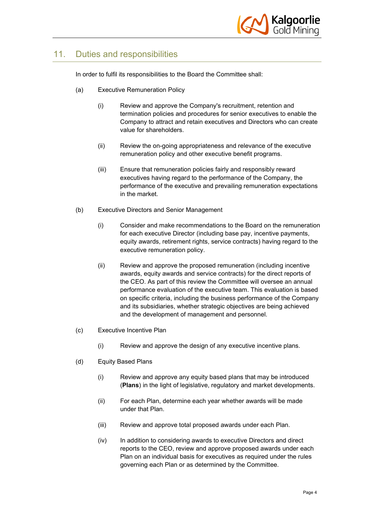

# 11. Duties and responsibilities

In order to fulfil its responsibilities to the Board the Committee shall:

- (a) Executive Remuneration Policy
	- (i) Review and approve the Company's recruitment, retention and termination policies and procedures for senior executives to enable the Company to attract and retain executives and Directors who can create value for shareholders.
	- (ii) Review the on-going appropriateness and relevance of the executive remuneration policy and other executive benefit programs.
	- (iii) Ensure that remuneration policies fairly and responsibly reward executives having regard to the performance of the Company, the performance of the executive and prevailing remuneration expectations in the market.
- <span id="page-3-0"></span>(b) Executive Directors and Senior Management
	- (i) Consider and make recommendations to the Board on the remuneration for each executive Director (including base pay, incentive payments, equity awards, retirement rights, service contracts) having regard to the executive remuneration policy.
	- (ii) Review and approve the proposed remuneration (including incentive awards, equity awards and service contracts) for the direct reports of the CEO. As part of this review the Committee will oversee an annual performance evaluation of the executive team. This evaluation is based on specific criteria, including the business performance of the Company and its subsidiaries, whether strategic objectives are being achieved and the development of management and personnel.
- (c) Executive Incentive Plan
	- (i) Review and approve the design of any executive incentive plans.
- (d) Equity Based Plans
	- (i) Review and approve any equity based plans that may be introduced (**Plans**) in the light of legislative, regulatory and market developments.
	- (ii) For each Plan, determine each year whether awards will be made under that Plan.
	- (iii) Review and approve total proposed awards under each Plan.
	- (iv) In addition to considering awards to executive Directors and direct reports to the CEO, review and approve proposed awards under each Plan on an individual basis for executives as required under the rules governing each Plan or as determined by the Committee.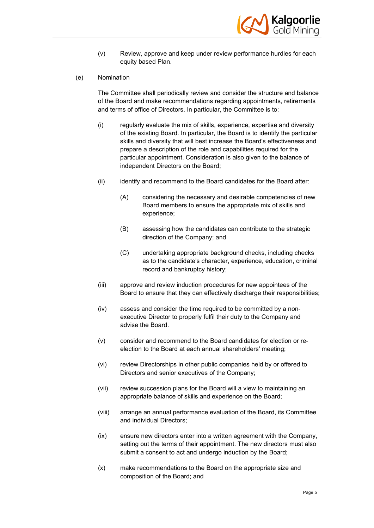

- (v) Review, approve and keep under review performance hurdles for each equity based Plan.
- (e) Nomination

The Committee shall periodically review and consider the structure and balance of the Board and make recommendations regarding appointments, retirements and terms of office of Directors. In particular, the Committee is to:

- (i) regularly evaluate the mix of skills, experience, expertise and diversity of the existing Board. In particular, the Board is to identify the particular skills and diversity that will best increase the Board's effectiveness and prepare a description of the role and capabilities required for the particular appointment. Consideration is also given to the balance of independent Directors on the Board;
- (ii) identify and recommend to the Board candidates for the Board after:
	- (A) considering the necessary and desirable competencies of new Board members to ensure the appropriate mix of skills and experience;
	- (B) assessing how the candidates can contribute to the strategic direction of the Company; and
	- (C) undertaking appropriate background checks, including checks as to the candidate's character, experience, education, criminal record and bankruptcy history;
- (iii) approve and review induction procedures for new appointees of the Board to ensure that they can effectively discharge their responsibilities;
- (iv) assess and consider the time required to be committed by a nonexecutive Director to properly fulfil their duty to the Company and advise the Board.
- (v) consider and recommend to the Board candidates for election or reelection to the Board at each annual shareholders' meeting;
- (vi) review Directorships in other public companies held by or offered to Directors and senior executives of the Company;
- (vii) review succession plans for the Board will a view to maintaining an appropriate balance of skills and experience on the Board;
- (viii) arrange an annual performance evaluation of the Board, its Committee and individual Directors;
- (ix) ensure new directors enter into a written agreement with the Company, setting out the terms of their appointment. The new directors must also submit a consent to act and undergo induction by the Board;
- (x) make recommendations to the Board on the appropriate size and composition of the Board; and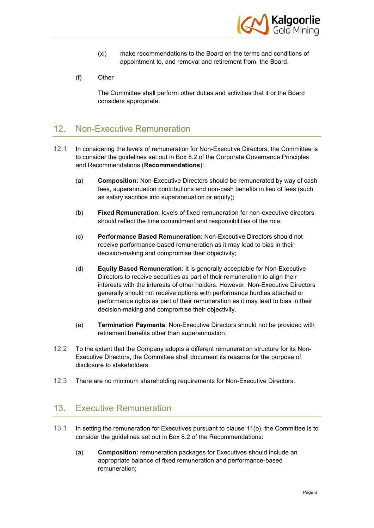

- (xi) make recommendations to the Board on the terms and conditions of appointment to, and removal and retirement from, the Board.
- (f) Other

The Committee shall perform other duties and activities that it or the Board considers appropriate.

## 12. Non-Executive Remuneration

- 12.1 In considering the levels of remuneration for Non-Executive Directors, the Committee is to consider the guidelines set out in Box 8.2 of the Corporate Governance Principles and Recommendations (**Recommendations**):
	- (a) **Composition:** Non-Executive Directors should be remunerated by way of cash fees, superannuation contributions and non-cash benefits in lieu of fees (such as salary sacrifice into superannuation or equity);
	- (b) **Fixed Remuneration**: levels of fixed remuneration for non-executive directors should reflect the time commitment and responsibilities of the role;
	- (c) **Performance Based Remuneration**: Non-Executive Directors should not receive performance-based remuneration as it may lead to bias in their decision-making and compromise their objectivity;
	- (d) **Equity Based Remuneration:** it is generally acceptable for Non-Executive Directors to receive securities as part of their remuneration to align their interests with the interests of other holders. However, Non-Executive Directors generally should not receive options with performance hurdles attached or performance rights as part of their remuneration as it may lead to bias in their decision-making and compromise their objectivity.
	- (e) **Termination Payments**: Non-Executive Directors should not be provided with retirement benefits other than superannuation.
- 12.2 To the extent that the Company adopts a different remuneration structure for its Non-Executive Directors, the Committee shall document its reasons for the purpose of disclosure to stakeholders.
- 12.3 There are no minimum shareholding requirements for Non-Executive Directors.

## 13. Executive Remuneration

- 13.1 In setting the remuneration for Executives pursuant to clause [11\(b\),](#page-3-0) the Committee is to consider the guidelines set out in Box 8.2 of the Recommendations:
	- (a) **Composition:** remuneration packages for Executives should include an appropriate balance of fixed remuneration and performance-based remuneration;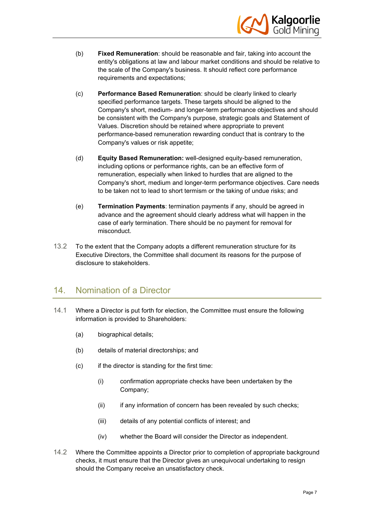

- (b) **Fixed Remuneration**: should be reasonable and fair, taking into account the entity's obligations at law and labour market conditions and should be relative to the scale of the Company's business. It should reflect core performance requirements and expectations;
- (c) **Performance Based Remuneration**: should be clearly linked to clearly specified performance targets. These targets should be aligned to the Company's short, medium- and longer-term performance objectives and should be consistent with the Company's purpose, strategic goals and Statement of Values. Discretion should be retained where appropriate to prevent performance-based remuneration rewarding conduct that is contrary to the Company's values or risk appetite;
- (d) **Equity Based Remuneration:** well-designed equity-based remuneration, including options or performance rights, can be an effective form of remuneration, especially when linked to hurdles that are aligned to the Company's short, medium and longer-term performance objectives. Care needs to be taken not to lead to short termism or the taking of undue risks; and
- (e) **Termination Payments**: termination payments if any, should be agreed in advance and the agreement should clearly address what will happen in the case of early termination. There should be no payment for removal for misconduct.
- 13.2 To the extent that the Company adopts a different remuneration structure for its Executive Directors, the Committee shall document its reasons for the purpose of disclosure to stakeholders.

## 14. Nomination of a Director

- 14.1 Where a Director is put forth for election, the Committee must ensure the following information is provided to Shareholders:
	- (a) biographical details;
	- (b) details of material directorships; and
	- (c) if the director is standing for the first time:
		- (i) confirmation appropriate checks have been undertaken by the Company;
		- (ii) if any information of concern has been revealed by such checks;
		- (iii) details of any potential conflicts of interest; and
		- (iv) whether the Board will consider the Director as independent.
- 14.2 Where the Committee appoints a Director prior to completion of appropriate background checks, it must ensure that the Director gives an unequivocal undertaking to resign should the Company receive an unsatisfactory check.